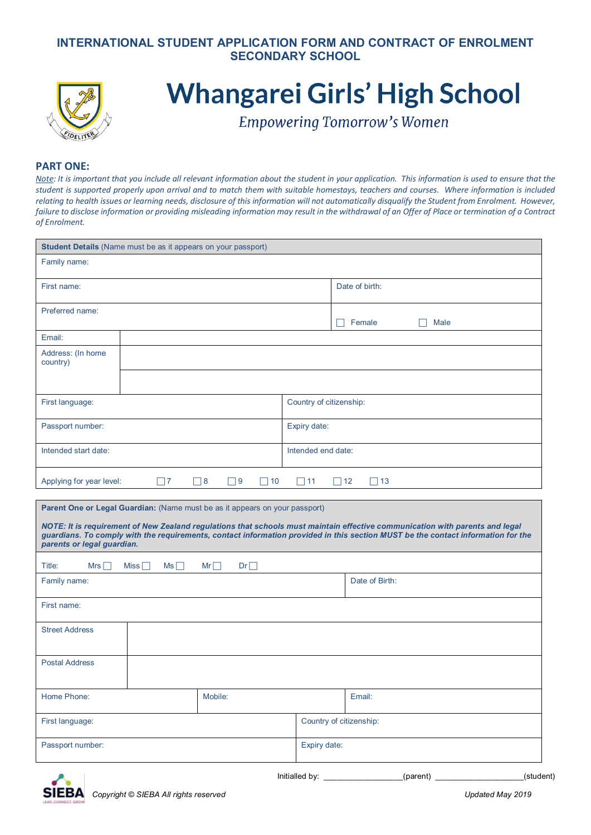## **INTERNATIONAL STUDENT APPLICATION FORM AND CONTRACT OF ENROLMENT SECONDARY SCHOOL**



# **Whangarei Girls' High School**

**Empowering Tomorrow's Women** 

#### **PART ONE:**

*Note: It is important that you include all relevant information about the student in your application. This information is used to ensure that the student is supported properly upon arrival and to match them with suitable homestays, teachers and courses. Where information is included relating to health issues or learning needs, disclosure of this information will not automatically disqualify the Student from Enrolment. However, failure to disclose information or providing misleading information may result in the withdrawal of an Offer of Place or termination of a Contract of Enrolment.*

| <b>Student Details</b> (Name must be as it appears on your passport) |                                               |                                              |  |
|----------------------------------------------------------------------|-----------------------------------------------|----------------------------------------------|--|
| Family name:                                                         |                                               |                                              |  |
| First name:                                                          |                                               | Date of birth:                               |  |
| Preferred name:                                                      |                                               | Female<br>Male                               |  |
| Email:                                                               |                                               |                                              |  |
| Address: (In home<br>country)                                        |                                               |                                              |  |
|                                                                      |                                               |                                              |  |
| First language:                                                      |                                               | Country of citizenship:                      |  |
| Passport number:                                                     |                                               | Expiry date:                                 |  |
| Intended start date:                                                 |                                               | Intended end date:                           |  |
| Applying for year level:                                             | $\Box$ 9<br>$\neg$ 7<br>$\Box$ 8<br>10<br>. . | $\Box$ 11<br>$\Box$ 12<br>13<br>$\mathbf{L}$ |  |

| <b>Parent One or Legal Guardian:</b> (Name must be as it appears on your passport)                                                                                                                                                                                                             |          |                         |                |
|------------------------------------------------------------------------------------------------------------------------------------------------------------------------------------------------------------------------------------------------------------------------------------------------|----------|-------------------------|----------------|
| NOTE: It is requirement of New Zealand regulations that schools must maintain effective communication with parents and legal<br>guardians. To comply with the requirements, contact information provided in this section MUST be the contact information for the<br>parents or legal guardian. |          |                         |                |
| Title:<br>Mrs $\Box$<br>Miss $\Box$<br>$Ms \Box$                                                                                                                                                                                                                                               | Dr<br>Mr |                         |                |
| Family name:                                                                                                                                                                                                                                                                                   |          |                         | Date of Birth: |
| First name:                                                                                                                                                                                                                                                                                    |          |                         |                |
| <b>Street Address</b>                                                                                                                                                                                                                                                                          |          |                         |                |
| <b>Postal Address</b>                                                                                                                                                                                                                                                                          |          |                         |                |
| Home Phone:                                                                                                                                                                                                                                                                                    | Mobile:  |                         | Email:         |
| First language:                                                                                                                                                                                                                                                                                |          | Country of citizenship: |                |
| Passport number:                                                                                                                                                                                                                                                                               |          | Expiry date:            |                |

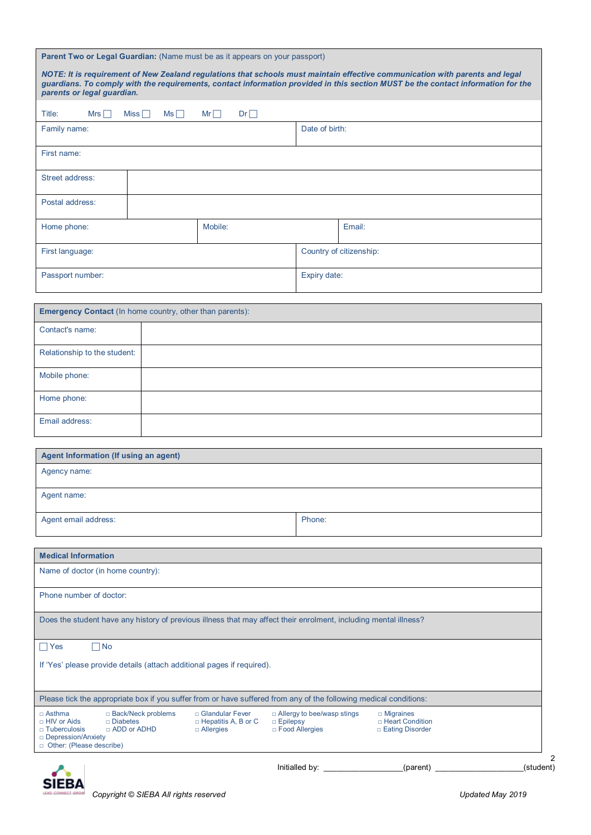|                                                                                                                           |                                       | Parent Two or Legal Guardian: (Name must be as it appears on your passport)                                                                                                                                                                                      |                                                                |                         |                                                            |           |
|---------------------------------------------------------------------------------------------------------------------------|---------------------------------------|------------------------------------------------------------------------------------------------------------------------------------------------------------------------------------------------------------------------------------------------------------------|----------------------------------------------------------------|-------------------------|------------------------------------------------------------|-----------|
| parents or legal guardian.                                                                                                |                                       | NOTE: It is requirement of New Zealand regulations that schools must maintain effective communication with parents and legal<br>guardians. To comply with the requirements, contact information provided in this section MUST be the contact information for the |                                                                |                         |                                                            |           |
| Title:<br>Mrs $\Box$                                                                                                      | Miss<br>Ms                            | $Mr \Box$<br>Dr                                                                                                                                                                                                                                                  |                                                                |                         |                                                            |           |
| Family name:                                                                                                              |                                       |                                                                                                                                                                                                                                                                  | Date of birth:                                                 |                         |                                                            |           |
| First name:                                                                                                               |                                       |                                                                                                                                                                                                                                                                  |                                                                |                         |                                                            |           |
| Street address:                                                                                                           |                                       |                                                                                                                                                                                                                                                                  |                                                                |                         |                                                            |           |
| Postal address:                                                                                                           |                                       |                                                                                                                                                                                                                                                                  |                                                                |                         |                                                            |           |
| Home phone:                                                                                                               |                                       | Mobile:                                                                                                                                                                                                                                                          |                                                                | Email:                  |                                                            |           |
| First language:                                                                                                           |                                       |                                                                                                                                                                                                                                                                  |                                                                | Country of citizenship: |                                                            |           |
| Passport number:                                                                                                          |                                       |                                                                                                                                                                                                                                                                  | Expiry date:                                                   |                         |                                                            |           |
| <b>Emergency Contact (In home country, other than parents):</b>                                                           |                                       |                                                                                                                                                                                                                                                                  |                                                                |                         |                                                            |           |
| Contact's name:                                                                                                           |                                       |                                                                                                                                                                                                                                                                  |                                                                |                         |                                                            |           |
| Relationship to the student:                                                                                              |                                       |                                                                                                                                                                                                                                                                  |                                                                |                         |                                                            |           |
| Mobile phone:                                                                                                             |                                       |                                                                                                                                                                                                                                                                  |                                                                |                         |                                                            |           |
| Home phone:                                                                                                               |                                       |                                                                                                                                                                                                                                                                  |                                                                |                         |                                                            |           |
| Email address:                                                                                                            |                                       |                                                                                                                                                                                                                                                                  |                                                                |                         |                                                            |           |
| Agent Information (If using an agent)                                                                                     |                                       |                                                                                                                                                                                                                                                                  |                                                                |                         |                                                            |           |
| Agency name:                                                                                                              |                                       |                                                                                                                                                                                                                                                                  |                                                                |                         |                                                            |           |
| Agent name:                                                                                                               |                                       |                                                                                                                                                                                                                                                                  |                                                                |                         |                                                            |           |
| Agent email address:                                                                                                      |                                       |                                                                                                                                                                                                                                                                  | Phone:                                                         |                         |                                                            |           |
| <b>Medical Information</b>                                                                                                |                                       |                                                                                                                                                                                                                                                                  |                                                                |                         |                                                            |           |
| Name of doctor (in home country):                                                                                         |                                       |                                                                                                                                                                                                                                                                  |                                                                |                         |                                                            |           |
| Phone number of doctor:                                                                                                   |                                       |                                                                                                                                                                                                                                                                  |                                                                |                         |                                                            |           |
|                                                                                                                           |                                       | Does the student have any history of previous illness that may affect their enrolment, including mental illness?                                                                                                                                                 |                                                                |                         |                                                            |           |
| $\Box$ Yes<br>$\Box$ No                                                                                                   |                                       |                                                                                                                                                                                                                                                                  |                                                                |                         |                                                            |           |
| If 'Yes' please provide details (attach additional pages if required).                                                    |                                       |                                                                                                                                                                                                                                                                  |                                                                |                         |                                                            |           |
|                                                                                                                           |                                       | Please tick the appropriate box if you suffer from or have suffered from any of the following medical conditions:                                                                                                                                                |                                                                |                         |                                                            |           |
| □ Asthma<br>$\Box$ Diabetes<br>□ HIV or Aids<br>$\Box$ Tuberculosis<br>□ Depression/Anxiety<br>□ Other: (Please describe) | □ Back/Neck problems<br>□ ADD or ADHD | □ Glandular Fever<br>$\Box$ Hepatitis A, B or C<br>□ Allergies                                                                                                                                                                                                   | □ Allergy to bee/wasp stings<br>□ Epilepsy<br>□ Food Allergies |                         | $\Box$ Migraines<br>□ Heart Condition<br>□ Eating Disorder |           |
|                                                                                                                           |                                       |                                                                                                                                                                                                                                                                  | Initialled by:                                                 |                         | (parent)                                                   | (student) |

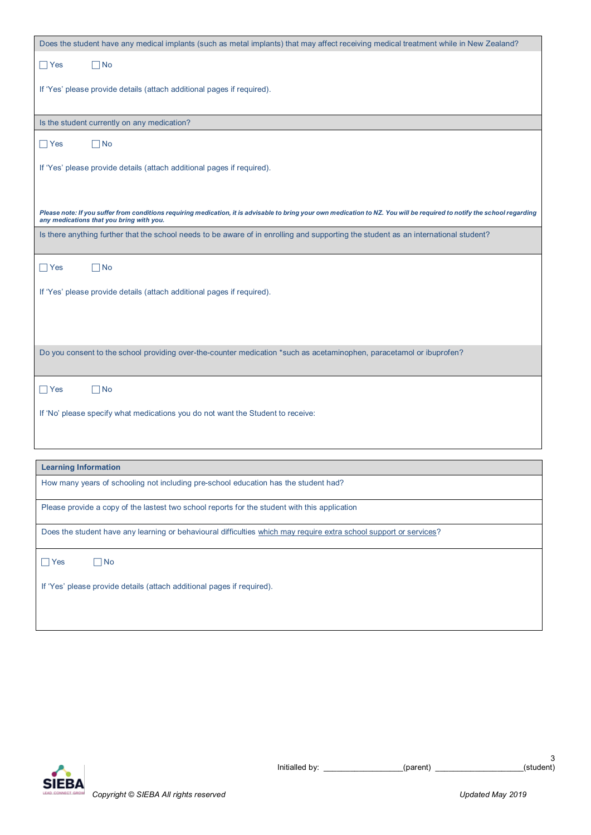| Does the student have any medical implants (such as metal implants) that may affect receiving medical treatment while in New Zealand?                                                                                |
|----------------------------------------------------------------------------------------------------------------------------------------------------------------------------------------------------------------------|
| $\Box$ Yes<br>$\neg$ No                                                                                                                                                                                              |
| If 'Yes' please provide details (attach additional pages if required).                                                                                                                                               |
| Is the student currently on any medication?                                                                                                                                                                          |
| $\Box$ No<br>$\Box$ Yes                                                                                                                                                                                              |
| If 'Yes' please provide details (attach additional pages if required).                                                                                                                                               |
| Please note: If you suffer from conditions requiring medication, it is advisable to bring your own medication to NZ. You will be required to notify the school regarding<br>any medications that you bring with you. |
| Is there anything further that the school needs to be aware of in enrolling and supporting the student as an international student?                                                                                  |
| $\Box$ No<br>$\Box$ Yes                                                                                                                                                                                              |
| If 'Yes' please provide details (attach additional pages if required).                                                                                                                                               |
|                                                                                                                                                                                                                      |
|                                                                                                                                                                                                                      |
| Do you consent to the school providing over-the-counter medication *such as acetaminophen, paracetamol or ibuprofen?                                                                                                 |
| $\Box$ No<br>$\Box$ Yes                                                                                                                                                                                              |
| If 'No' please specify what medications you do not want the Student to receive:                                                                                                                                      |
|                                                                                                                                                                                                                      |
| <b>Learning Information</b>                                                                                                                                                                                          |
| How many years of schooling not including pre-school education has the student had?                                                                                                                                  |
| Please provide a copy of the lastest two school reports for the student with this application                                                                                                                        |
| Does the student have any learning or behavioural difficulties which may require extra school support or services?                                                                                                   |
| $\Box$ Yes<br>$\Box$ No                                                                                                                                                                                              |
| If 'Yes' please provide details (attach additional pages if required).                                                                                                                                               |
|                                                                                                                                                                                                                      |

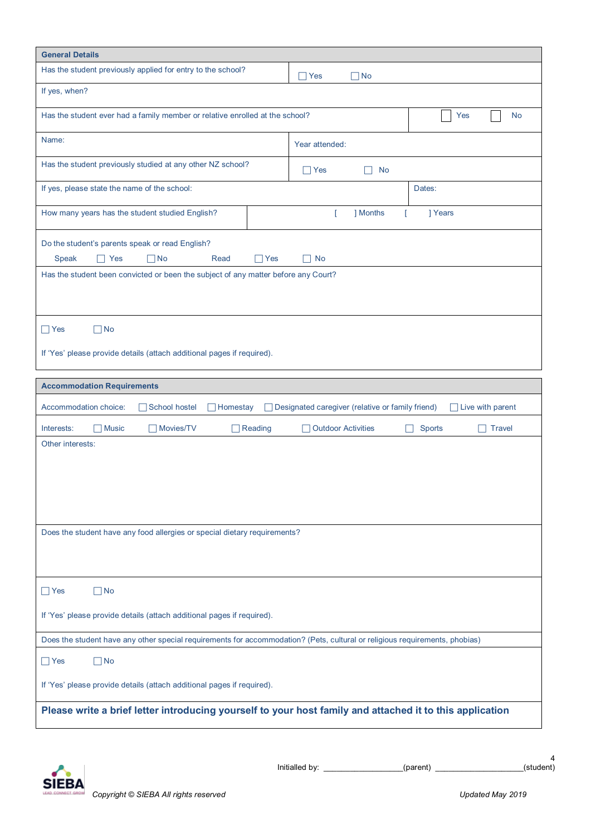| <b>General Details</b>                                                                                                                                                                   |                                                                               |  |  |
|------------------------------------------------------------------------------------------------------------------------------------------------------------------------------------------|-------------------------------------------------------------------------------|--|--|
| Has the student previously applied for entry to the school?                                                                                                                              | $\Box$ No<br>$\sqcap$ Yes                                                     |  |  |
| If yes, when?                                                                                                                                                                            |                                                                               |  |  |
| Has the student ever had a family member or relative enrolled at the school?                                                                                                             | Yes<br>No                                                                     |  |  |
| Name:                                                                                                                                                                                    | Year attended:                                                                |  |  |
| Has the student previously studied at any other NZ school?                                                                                                                               | $\Box$ Yes<br>No                                                              |  |  |
| If yes, please state the name of the school:                                                                                                                                             | Dates:                                                                        |  |  |
| How many years has the student studied English?                                                                                                                                          | T<br>] Months<br>  Years<br>$\mathsf{L}$                                      |  |  |
| Do the student's parents speak or read English?<br>Speak<br>$\neg$ No<br>$\Box$ Yes<br>Yes<br>Read<br>Has the student been convicted or been the subject of any matter before any Court? | No<br>H                                                                       |  |  |
| $\Box$ No<br>$\Box$ Yes<br>If 'Yes' please provide details (attach additional pages if required).                                                                                        |                                                                               |  |  |
| <b>Accommodation Requirements</b>                                                                                                                                                        |                                                                               |  |  |
| Accommodation choice:<br>School hostel<br><b>Homestay</b>                                                                                                                                | □ Designated caregiver (relative or family friend)<br>$\Box$ Live with parent |  |  |
| $\Box$ Music<br>Movies/TV<br>$\Box$ Reading<br>Interests:                                                                                                                                | <b>Outdoor Activities</b><br><b>Sports</b><br><b>Travel</b><br>$\mathsf{L}$   |  |  |
| Other interests:<br>Does the student have any food allergies or special dietary requirements?                                                                                            |                                                                               |  |  |
| $\Box$ No<br>$\Box$ Yes                                                                                                                                                                  |                                                                               |  |  |
| If 'Yes' please provide details (attach additional pages if required).                                                                                                                   |                                                                               |  |  |
| Does the student have any other special requirements for accommodation? (Pets, cultural or religious requirements, phobias)                                                              |                                                                               |  |  |
| $\Box$ No<br>$\Box$ Yes                                                                                                                                                                  |                                                                               |  |  |
| If 'Yes' please provide details (attach additional pages if required).                                                                                                                   |                                                                               |  |  |
| Please write a brief letter introducing yourself to your host family and attached it to this application                                                                                 |                                                                               |  |  |
|                                                                                                                                                                                          |                                                                               |  |  |

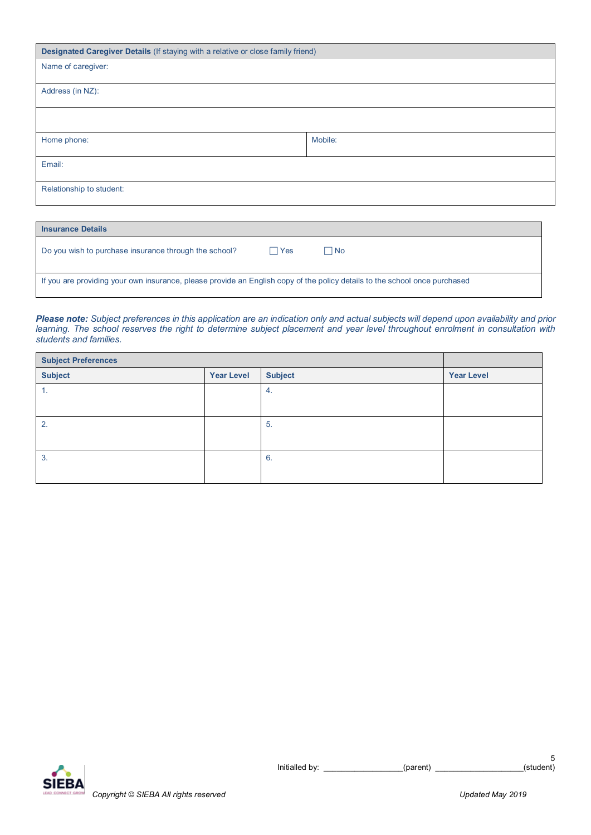| Designated Caregiver Details (If staying with a relative or close family friend) |  |  |  |  |
|----------------------------------------------------------------------------------|--|--|--|--|
|                                                                                  |  |  |  |  |
| Address (in NZ):                                                                 |  |  |  |  |
|                                                                                  |  |  |  |  |
| Mobile:                                                                          |  |  |  |  |
| Email:                                                                           |  |  |  |  |
| Relationship to student:                                                         |  |  |  |  |
|                                                                                  |  |  |  |  |

| <b>Insurance Details</b>                                                                                                   |              |     |  |  |
|----------------------------------------------------------------------------------------------------------------------------|--------------|-----|--|--|
| Do you wish to purchase insurance through the school?                                                                      | $\sqcap$ Yes | ∏No |  |  |
| If you are providing your own insurance, please provide an English copy of the policy details to the school once purchased |              |     |  |  |

*Please note: Subject preferences in this application are an indication only and actual subjects will depend upon availability and prior learning. The school reserves the right to determine subject placement and year level throughout enrolment in consultation with students and families.* 

| <b>Subject Preferences</b> |                   |                |                   |
|----------------------------|-------------------|----------------|-------------------|
| <b>Subject</b>             | <b>Year Level</b> | <b>Subject</b> | <b>Year Level</b> |
| 1.                         |                   | 4.             |                   |
|                            |                   |                |                   |
| 2.                         |                   | 5.             |                   |
|                            |                   |                |                   |
| 3.                         |                   | 6.             |                   |
|                            |                   |                |                   |

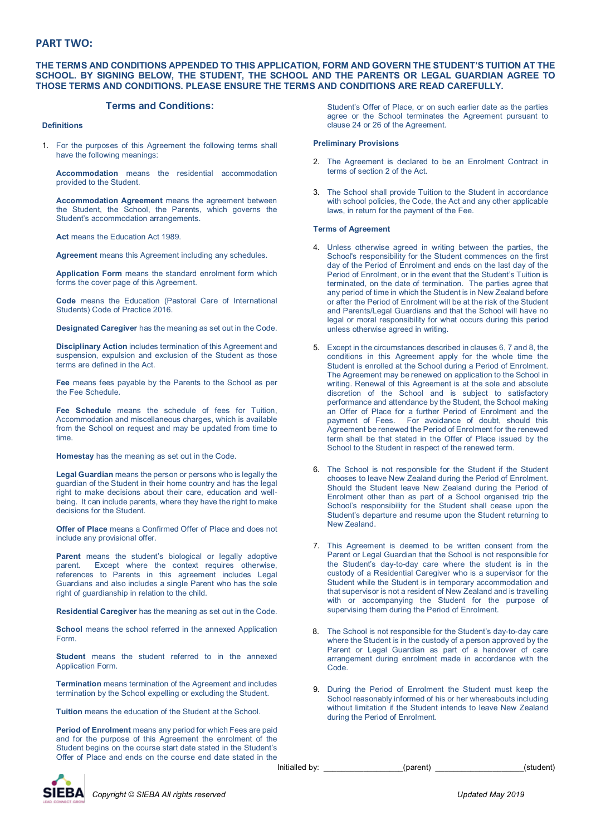#### **PART TWO:**

#### **THE TERMS AND CONDITIONS APPENDED TO THIS APPLICATION, FORM AND GOVERN THE STUDENT'S TUITION AT THE SCHOOL. BY SIGNING BELOW, THE STUDENT, THE SCHOOL AND THE PARENTS OR LEGAL GUARDIAN AGREE TO THOSE TERMS AND CONDITIONS. PLEASE ENSURE THE TERMS AND CONDITIONS ARE READ CAREFULLY.**

#### **Terms and Conditions:**

#### **Definitions**

1. For the purposes of this Agreement the following terms shall have the following meanings:

**Accommodation** means the residential accommodation provided to the Student.

**Accommodation Agreement** means the agreement between the Student, the School, the Parents, which governs the Student's accommodation arrangements.

**Act** means the Education Act 1989.

**Agreement** means this Agreement including any schedules.

**Application Form** means the standard enrolment form which forms the cover page of this Agreement.

**Code** means the Education (Pastoral Care of International Students) Code of Practice 2016.

**Designated Caregiver** has the meaning as set out in the Code.

**Disciplinary Action** includes termination of this Agreement and suspension, expulsion and exclusion of the Student as those terms are defined in the Act.

**Fee** means fees payable by the Parents to the School as per the Fee Schedule.

**Fee Schedule** means the schedule of fees for Tuition, Accommodation and miscellaneous charges, which is available from the School on request and may be updated from time to time.

**Homestay** has the meaning as set out in the Code.

**Legal Guardian** means the person or persons who is legally the guardian of the Student in their home country and has the legal right to make decisions about their care, education and wellbeing. It can include parents, where they have the right to make decisions for the Student.

**Offer of Place** means a Confirmed Offer of Place and does not include any provisional offer.

**Parent** means the student's biological or legally adoptive parent. Except where the context requires otherwise, **Except where the context requires otherwise.** references to Parents in this agreement includes Legal Guardians and also includes a single Parent who has the sole right of guardianship in relation to the child.

**Residential Caregiver** has the meaning as set out in the Code.

**School** means the school referred in the annexed Application Form.

**Student** means the student referred to in the annexed Application Form.

**Termination** means termination of the Agreement and includes termination by the School expelling or excluding the Student.

**Tuition** means the education of the Student at the School.

**Period of Enrolment** means any period for which Fees are paid and for the purpose of this Agreement the enrolment of the Student begins on the course start date stated in the Student's Offer of Place and ends on the course end date stated in the

Student's Offer of Place, or on such earlier date as the parties agree or the School terminates the Agreement pursuant to clause 24 or 26 of the Agreement.

#### **Preliminary Provisions**

- 2. The Agreement is declared to be an Enrolment Contract in terms of section 2 of the Act.
- 3. The School shall provide Tuition to the Student in accordance with school policies, the Code, the Act and any other applicable laws, in return for the payment of the Fee.

#### **Terms of Agreement**

- 4. Unless otherwise agreed in writing between the parties, the School's responsibility for the Student commences on the first day of the Period of Enrolment and ends on the last day of the Period of Enrolment, or in the event that the Student's Tuition is terminated, on the date of termination. The parties agree that any period of time in which the Student is in New Zealand before or after the Period of Enrolment will be at the risk of the Student and Parents/Legal Guardians and that the School will have no legal or moral responsibility for what occurs during this period unless otherwise agreed in writing.
- 5. Except in the circumstances described in clauses 6, 7 and 8, the conditions in this Agreement apply for the whole time the Student is enrolled at the School during a Period of Enrolment. The Agreement may be renewed on application to the School in writing. Renewal of this Agreement is at the sole and absolute discretion of the School and is subject to satisfactory performance and attendance by the Student, the School making an Offer of Place for a further Period of Enrolment and the payment of Fees. For avoidance of doubt, should this Agreement be renewed the Period of Enrolment for the renewed term shall be that stated in the Offer of Place issued by the School to the Student in respect of the renewed term.
- 6. The School is not responsible for the Student if the Student chooses to leave New Zealand during the Period of Enrolment. Should the Student leave New Zealand during the Period of Enrolment other than as part of a School organised trip the School's responsibility for the Student shall cease upon the Student's departure and resume upon the Student returning to New Zealand.
- 7. This Agreement is deemed to be written consent from the Parent or Legal Guardian that the School is not responsible for the Student's day-to-day care where the student is in the custody of a Residential Caregiver who is a supervisor for the Student while the Student is in temporary accommodation and that supervisor is not a resident of New Zealand and is travelling with or accompanying the Student for the purpose of supervising them during the Period of Enrolment.
- 8. The School is not responsible for the Student's day-to-day care where the Student is in the custody of a person approved by the Parent or Legal Guardian as part of a handover of care arrangement during enrolment made in accordance with the Code.
- 9. During the Period of Enrolment the Student must keep the School reasonably informed of his or her whereabouts including without limitation if the Student intends to leave New Zealand during the Period of Enrolment.

Initialled by: \_\_\_\_\_\_\_\_\_\_\_\_\_\_\_\_\_\_(parent) \_\_\_\_\_\_\_\_\_\_\_\_\_\_\_\_\_\_\_\_(student)

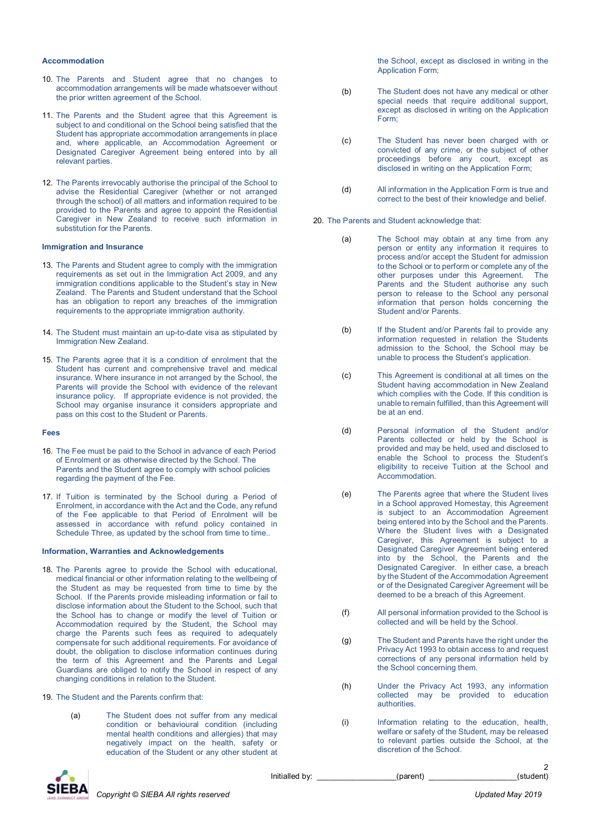#### **Accommodation**

- 10. The Parents and Student agree that no changes to accommodation arrangements will be made whatsoever without the prior written agreement of the School.
- 11. The Parents and the Student agree that this Agreement is subject to and conditional on the School being satisfied that the Student has appropriate accommodation arrangements in place and, where applicable, an Accommodation Agreement or Designated Caregiver Agreement being entered into by all relevant parties.
- 12. The Parents irrevocably authorise the principal of the School to advise the Residential Caregiver (whether or not arranged through the school) of all matters and information required to be provided to the Parents and agree to appoint the Residential Caregiver in New Zealand to receive such information in substitution for the Parents.

#### **Immigration and Insurance**

- 13. The Parents and Student agree to comply with the immigration requirements as set out in the Immigration Act 2009, and any immigration conditions applicable to the Student's stay in New Zealand. The Parents and Student understand that the School has an obligation to report any breaches of the immigration requirements to the appropriate immigration authority.
- 14. The Student must maintain an up-to-date visa as stipulated by Immigration New Zealand.
- 15. The Parents agree that it is a condition of enrolment that the Student has current and comprehensive travel and medical insurance. Where insurance in not arranged by the School, the Parents will provide the School with evidence of the relevant insurance policy. If appropriate evidence is not provided, the School may organise insurance it considers appropriate and pass on this cost to the Student or Parents.

#### **Fees**

- 16. The Fee must be paid to the School in advance of each Period of Enrolment or as otherwise directed by the School. The Parents and the Student agree to comply with school policies regarding the payment of the Fee.
- 17. If Tuition is terminated by the School during a Period of Enrolment, in accordance with the Act and the Code, any refund of the Fee applicable to that Period of Enrolment will be assessed in accordance with refund policy contained in Schedule Three, as updated by the school from time to time..

#### **Information, Warranties and Acknowledgements**

- 18. The Parents agree to provide the School with educational, medical financial or other information relating to the wellbeing of the Student as may be requested from time to time by the School. If the Parents provide misleading information or fail to disclose information about the Student to the School, such that the School has to change or modify the level of Tuition or Accommodation required by the Student, the School may charge the Parents such fees as required to adequately compensate for such additional requirements. For avoidance of doubt, the obligation to disclose information continues during the term of this Agreement and the Parents and Legal Guardians are obliged to notify the School in respect of any changing conditions in relation to the Student.
- 19. The Student and the Parents confirm that:
	- (a) The Student does not suffer from any medical condition or behavioural condition (including mental health conditions and allergies) that may negatively impact on the health, safety or education of the Student or any other student at

the School, except as disclosed in writing in the Application Form;

- (b) The Student does not have any medical or other special needs that require additional support. except as disclosed in writing on the Application Form;
- (c) The Student has never been charged with or convicted of any crime, or the subject of other proceedings before any court, except as disclosed in writing on the Application Form;
- (d) All information in the Application Form is true and correct to the best of their knowledge and belief.

20. The Parents and Student acknowledge that:

- (a) The School may obtain at any time from any person or entity any information it requires to process and/or accept the Student for admission to the School or to perform or complete any of the other purposes under this Agreement. The Parents and the Student authorise any such person to release to the School any personal information that person holds concerning the Student and/or Parents.
- (b) If the Student and/or Parents fail to provide any information requested in relation the Students admission to the School, the School may be unable to process the Student's application.
- (c) This Agreement is conditional at all times on the Student having accommodation in New Zealand which complies with the Code. If this condition is unable to remain fulfilled, than this Agreement will be at an end.
- (d) Personal information of the Student and/or Parents collected or held by the School is provided and may be held, used and disclosed to enable the School to process the Student's eligibility to receive Tuition at the School and Accommodation.
- (e) The Parents agree that where the Student lives in a School approved Homestay, this Agreement is subject to an Accommodation Agreement being entered into by the School and the Parents. Where the Student lives with a Designated Caregiver, this Agreement is subject to a Designated Caregiver Agreement being entered into by the School, the Parents and the Designated Caregiver. In either case, a breach by the Student of the Accommodation Agreement or of the Designated Caregiver Agreement will be deemed to be a breach of this Agreement.
- (f) All personal information provided to the School is collected and will be held by the School.
- (g) The Student and Parents have the right under the Privacy Act 1993 to obtain access to and request corrections of any personal information held by the School concerning them.
- (h) Under the Privacy Act 1993, any information collected may be provided to education authorities.
- (i) Information relating to the education, health, welfare or safety of the Student, may be released to relevant parties outside the School, at the discretion of the School.



Initialled by: example the set of parent)

2<br>(student)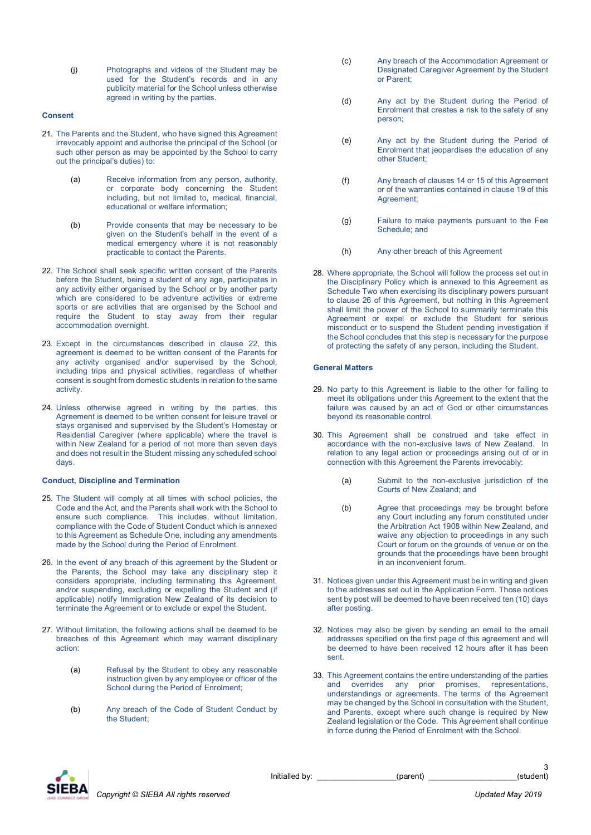(j) Photographs and videos of the Student may be used for the Student's records and in any publicity material for the School unless otherwise agreed in writing by the parties.

#### **Consent**

- 21. The Parents and the Student, who have signed this Agreement irrevocably appoint and authorise the principal of the School (or such other person as may be appointed by the School to carry out the principal's duties) to:
	- (a) Receive information from any person, authority, or corporate body concerning the Student including, but not limited to, medical, financial, educational or welfare information;
	- (b) Provide consents that may be necessary to be given on the Student's behalf in the event of a medical emergency where it is not reasonably practicable to contact the Parents.
- 22. The School shall seek specific written consent of the Parents before the Student, being a student of any age, participates in any activity either organised by the School or by another party which are considered to be adventure activities or extreme sports or are activities that are organised by the School and require the Student to stay away from their regular accommodation overnight.
- 23. Except in the circumstances described in clause 22, this agreement is deemed to be written consent of the Parents for any activity organised and/or supervised by the School, including trips and physical activities, regardless of whether consent is sought from domestic students in relation to the same activity.
- 24. Unless otherwise agreed in writing by the parties, this Agreement is deemed to be written consent for leisure travel or stays organised and supervised by the Student's Homestay or Residential Caregiver (where applicable) where the travel is within New Zealand for a period of not more than seven days and does not result in the Student missing any scheduled school days.

#### **Conduct, Discipline and Termination**

- 25. The Student will comply at all times with school policies, the Code and the Act, and the Parents shall work with the School to ensure such compliance. This includes, without limitation, compliance with the Code of Student Conduct which is annexed to this Agreement as Schedule One, including any amendments made by the School during the Period of Enrolment.
- 26. In the event of any breach of this agreement by the Student or the Parents, the School may take any disciplinary step it considers appropriate, including terminating this Agreement, and/or suspending, excluding or expelling the Student and (if applicable) notify Immigration New Zealand of its decision to terminate the Agreement or to exclude or expel the Student.
- 27. Without limitation, the following actions shall be deemed to be breaches of this Agreement which may warrant disciplinary action:
	- (a) Refusal by the Student to obey any reasonable instruction given by any employee or officer of the School during the Period of Enrolment;
	- (b) Any breach of the Code of Student Conduct by the Student;
- (c) Any breach of the Accommodation Agreement or Designated Caregiver Agreement by the Student or Parent;
- (d) Any act by the Student during the Period of Enrolment that creates a risk to the safety of any person;
- (e) Any act by the Student during the Period of Enrolment that jeopardises the education of any other Student;
- (f) Any breach of clauses 14 or 15 of this Agreement or of the warranties contained in clause 19 of this Agreement;
- (g) Failure to make payments pursuant to the Fee Schedule; and
- (h) Any other breach of this Agreement
- 28. Where appropriate, the School will follow the process set out in the Disciplinary Policy which is annexed to this Agreement as Schedule Two when exercising its disciplinary powers pursuant to clause 26 of this Agreement, but nothing in this Agreement shall limit the power of the School to summarily terminate this Agreement or expel or exclude the Student for serious misconduct or to suspend the Student pending investigation if the School concludes that this step is necessary for the purpose of protecting the safety of any person, including the Student.

#### **General Matters**

- 29. No party to this Agreement is liable to the other for failing to meet its obligations under this Agreement to the extent that the failure was caused by an act of God or other circumstances beyond its reasonable control.
- 30. This Agreement shall be construed and take effect in accordance with the non-exclusive laws of New Zealand. In relation to any legal action or proceedings arising out of or in connection with this Agreement the Parents irrevocably:
	- (a) Submit to the non-exclusive jurisdiction of the Courts of New Zealand; and
	- (b) Agree that proceedings may be brought before any Court including any forum constituted under the Arbitration Act 1908 within New Zealand, and waive any objection to proceedings in any such Court or forum on the grounds of venue or on the grounds that the proceedings have been brought in an inconvenient forum.
- 31. Notices given under this Agreement must be in writing and given to the addresses set out in the Application Form. Those notices sent by post will be deemed to have been received ten (10) days after posting.
- 32. Notices may also be given by sending an email to the email addresses specified on the first page of this agreement and will be deemed to have been received 12 hours after it has been sent.
- 33. This Agreement contains the entire understanding of the parties and overrides any prior promises, representations, understandings or agreements. The terms of the Agreement may be changed by the School in consultation with the Student, and Parents, except where such change is required by New Zealand legislation or the Code. This Agreement shall continue in force during the Period of Enrolment with the School.

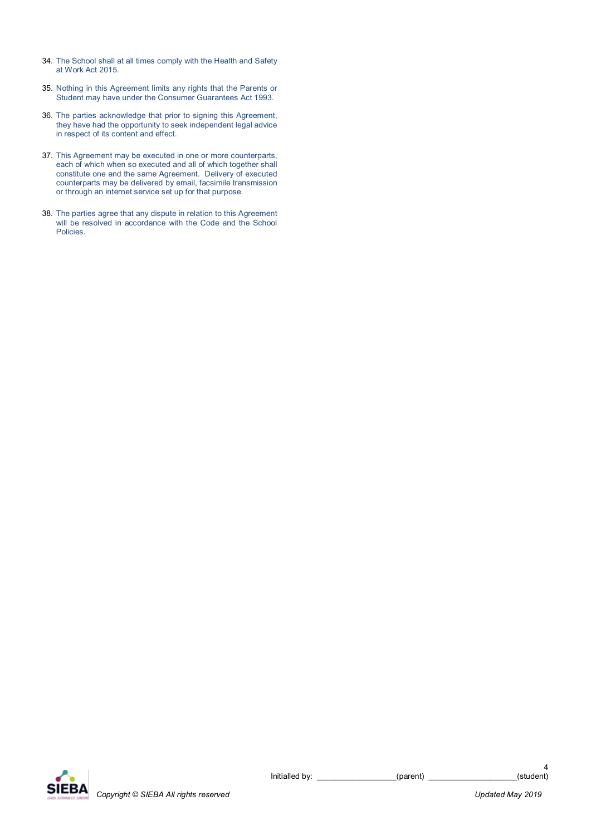- 34. The School shall at all times comply with the Health and Safety at Work Act 2015.
- 35. Nothing in this Agreement limits any rights that the Parents or Student may have under the Consumer Guarantees Act 1993.
- 36. The parties acknowledge that prior to signing this Agreement, they have had the opportunity to seek independent legal advice in respect of its content and effect.
- 37. This Agreement may be executed in one or more counterparts, each of which when so executed and all of which together shall constitute one and the same Agreement. Delivery of executed counterparts may be delivered by email, facsimile transmission or through an internet service set up for that purpose.
- 38. The parties agree that any dispute in relation to this Agreement will be resolved in accordance with the Code and the School Policies.

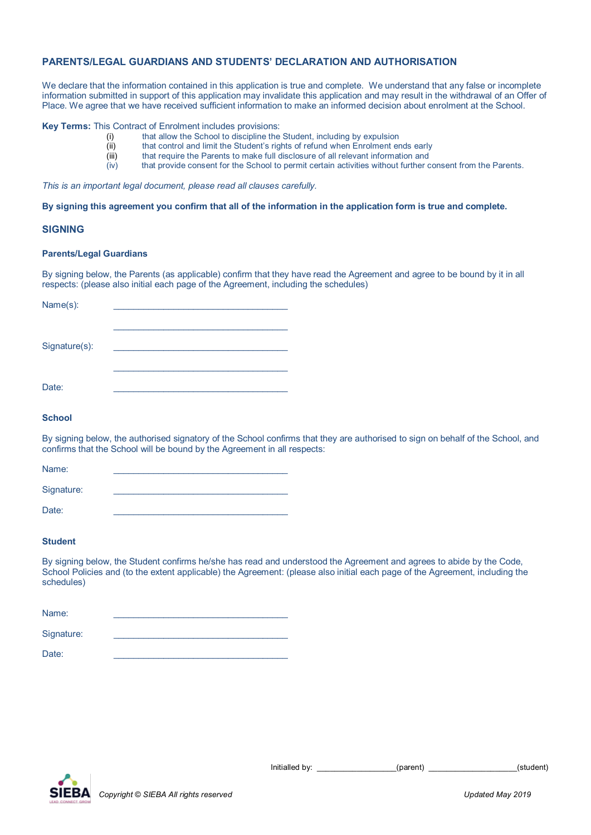## **PARENTS/LEGAL GUARDIANS AND STUDENTS' DECLARATION AND AUTHORISATION**

We declare that the information contained in this application is true and complete. We understand that any false or incomplete information submitted in support of this application may invalidate this application and may result in the withdrawal of an Offer of Place. We agree that we have received sufficient information to make an informed decision about enrolment at the School.

## **Key Terms:** This Contract of Enrolment includes provisions:<br>(i) that allow the School to discipline the

- (i) that allow the School to discipline the Student, including by expulsion that control and limit the Student's rights of refund when Enrolment er
- $\begin{array}{lll} \tilde{f}^{(i)} & \text{that control and limit the Student's rights of refund when Errolment ends early (iii) & \text{that require the Parents to make full disclosure of all relevant information and} \end{array}$
- $\begin{bmatrix} \overline{v} \\ \overline{v} \\ \overline{v} \\ \overline{v} \\ \overline{v} \\ \overline{v} \\ \overline{v} \\ \overline{v} \\ \overline{v} \\ \overline{v} \\ \overline{v} \\ \overline{v} \\ \overline{v} \\ \overline{v} \\ \overline{v} \\ \overline{v} \\ \overline{v} \\ \overline{v} \\ \overline{v} \\ \overline{v} \\ \overline{v} \\ \overline{v} \\ \overline{v} \\ \overline{v} \\ \overline{v} \\ \overline{v} \\ \overline{v} \\ \overline{v} \\ \overline{v} \\ \overline{v} \\ \overline{$
- that provide consent for the School to permit certain activities without further consent from the Parents.

*This is an important legal document, please read all clauses carefully.*

**By signing this agreement you confirm that all of the information in the application form is true and complete.**

#### **SIGNING**

#### **Parents/Legal Guardians**

By signing below, the Parents (as applicable) confirm that they have read the Agreement and agree to be bound by it in all respects: (please also initial each page of the Agreement, including the schedules)

| Name(s):      |  |
|---------------|--|
|               |  |
| Signature(s): |  |
|               |  |
|               |  |
| Date:         |  |

#### **School**

By signing below, the authorised signatory of the School confirms that they are authorised to sign on behalf of the School, and confirms that the School will be bound by the Agreement in all respects:

| Name:      |  |
|------------|--|
| Signature: |  |
| Date:      |  |

#### **Student**

By signing below, the Student confirms he/she has read and understood the Agreement and agrees to abide by the Code, School Policies and (to the extent applicable) the Agreement: (please also initial each page of the Agreement, including the schedules)

| Name:      |  |
|------------|--|
| Signature: |  |
| Date:      |  |



Initialled by:  $(parent)$  (parent) (student)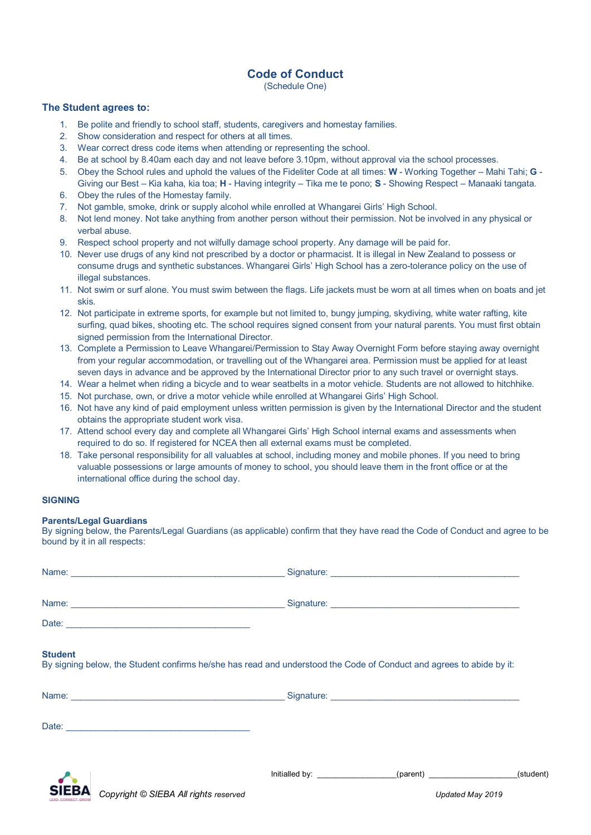## **Code of Conduct**

(Schedule One)

#### **The Student agrees to:**

- 1. Be polite and friendly to school staff, students, caregivers and homestay families.
- 2. Show consideration and respect for others at all times.
- 3. Wear correct dress code items when attending or representing the school.
- 4. Be at school by 8.40am each day and not leave before 3.10pm, without approval via the school processes.
- 5. Obey the School rules and uphold the values of the Fideliter Code at all times: **W** Working Together Mahi Tahi; **G** Giving our Best – Kia kaha, kia toa; **H** - Having integrity – Tika me te pono; **S** - Showing Respect – Manaaki tangata.
- 6. Obey the rules of the Homestay family.
- 7. Not gamble, smoke, drink or supply alcohol while enrolled at Whangarei Girls' High School.
- 8. Not lend money. Not take anything from another person without their permission. Not be involved in any physical or verbal abuse.
- 9. Respect school property and not wilfully damage school property. Any damage will be paid for.
- 10. Never use drugs of any kind not prescribed by a doctor or pharmacist. It is illegal in New Zealand to possess or consume drugs and synthetic substances. Whangarei Girls' High School has a zero-tolerance policy on the use of illegal substances.
- 11. Not swim or surf alone. You must swim between the flags. Life jackets must be worn at all times when on boats and jet skis.
- 12. Not participate in extreme sports, for example but not limited to, bungy jumping, skydiving, white water rafting, kite surfing, quad bikes, shooting etc. The school requires signed consent from your natural parents. You must first obtain signed permission from the International Director.
- 13. Complete a Permission to Leave Whangarei/Permission to Stay Away Overnight Form before staying away overnight from your regular accommodation, or travelling out of the Whangarei area. Permission must be applied for at least seven days in advance and be approved by the International Director prior to any such travel or overnight stays.
- 14. Wear a helmet when riding a bicycle and to wear seatbelts in a motor vehicle. Students are not allowed to hitchhike.
- 15. Not purchase, own, or drive a motor vehicle while enrolled at Whangarei Girls' High School.
- 16. Not have any kind of paid employment unless written permission is given by the International Director and the student obtains the appropriate student work visa.
- 17. Attend school every day and complete all Whangarei Girls' High School internal exams and assessments when required to do so. If registered for NCEA then all external exams must be completed.
- 18. Take personal responsibility for all valuables at school, including money and mobile phones. If you need to bring valuable possessions or large amounts of money to school, you should leave them in the front office or at the international office during the school day.

#### **SIGNING**

#### **Parents/Legal Guardians**

By signing below, the Parents/Legal Guardians (as applicable) confirm that they have read the Code of Conduct and agree to be bound by it in all respects:

| <b>Student</b> | By signing below, the Student confirms he/she has read and understood the Code of Conduct and agrees to abide by it: |  |
|----------------|----------------------------------------------------------------------------------------------------------------------|--|
|                |                                                                                                                      |  |
|                |                                                                                                                      |  |
|                | Initialled by: ___________________(parent) ____________________(student)                                             |  |



*Copyright © SIEBA All rights reserved Updated May 2019*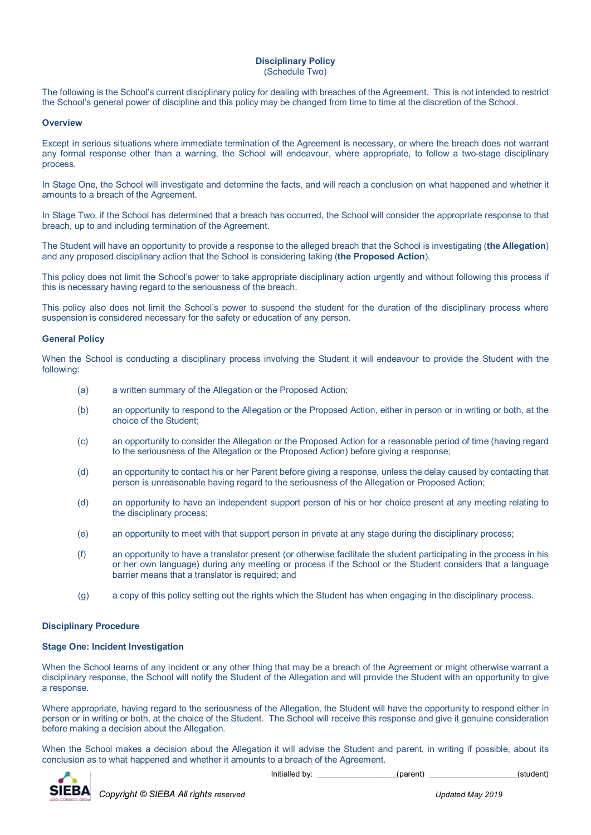#### **Disciplinary Policy** (Schedule Two)

The following is the School's current disciplinary policy for dealing with breaches of the Agreement. This is not intended to restrict the School's general power of discipline and this policy may be changed from time to time at the discretion of the School.

#### **Overview**

Except in serious situations where immediate termination of the Agreement is necessary, or where the breach does not warrant any formal response other than a warning, the School will endeavour, where appropriate, to follow a two-stage disciplinary process.

In Stage One, the School will investigate and determine the facts, and will reach a conclusion on what happened and whether it amounts to a breach of the Agreement.

In Stage Two, if the School has determined that a breach has occurred, the School will consider the appropriate response to that breach, up to and including termination of the Agreement.

The Student will have an opportunity to provide a response to the alleged breach that the School is investigating (**the Allegation**) and any proposed disciplinary action that the School is considering taking (**the Proposed Action**).

This policy does not limit the School's power to take appropriate disciplinary action urgently and without following this process if this is necessary having regard to the seriousness of the breach.

This policy also does not limit the School's power to suspend the student for the duration of the disciplinary process where suspension is considered necessary for the safety or education of any person.

#### **General Policy**

When the School is conducting a disciplinary process involving the Student it will endeavour to provide the Student with the following:

- (a) a written summary of the Allegation or the Proposed Action;
- (b) an opportunity to respond to the Allegation or the Proposed Action, either in person or in writing or both, at the choice of the Student;
- (c) an opportunity to consider the Allegation or the Proposed Action for a reasonable period of time (having regard to the seriousness of the Allegation or the Proposed Action) before giving a response;
- (d) an opportunity to contact his or her Parent before giving a response, unless the delay caused by contacting that person is unreasonable having regard to the seriousness of the Allegation or Proposed Action;
- (d) an opportunity to have an independent support person of his or her choice present at any meeting relating to the disciplinary process;
- (e) an opportunity to meet with that support person in private at any stage during the disciplinary process;
- (f) an opportunity to have a translator present (or otherwise facilitate the student participating in the process in his or her own language) during any meeting or process if the School or the Student considers that a language barrier means that a translator is required; and
- (g) a copy of this policy setting out the rights which the Student has when engaging in the disciplinary process.

#### **Disciplinary Procedure**

#### **Stage One: Incident Investigation**

When the School learns of any incident or any other thing that may be a breach of the Agreement or might otherwise warrant a disciplinary response, the School will notify the Student of the Allegation and will provide the Student with an opportunity to give a response.

Where appropriate, having regard to the seriousness of the Allegation, the Student will have the opportunity to respond either in person or in writing or both, at the choice of the Student. The School will receive this response and give it genuine consideration before making a decision about the Allegation.

When the School makes a decision about the Allegation it will advise the Student and parent, in writing if possible, about its conclusion as to what happened and whether it amounts to a breach of the Agreement.



Initialled by: \_\_\_\_\_\_\_\_\_\_\_\_\_\_\_\_\_(parent) \_\_\_\_\_\_\_\_\_\_\_\_\_\_\_\_\_\_\_\_\_(student)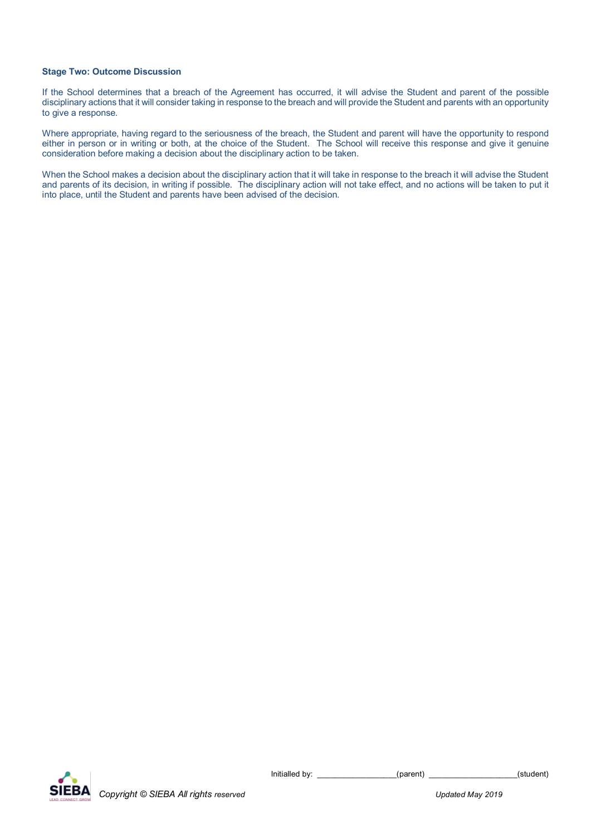#### **Stage Two: Outcome Discussion**

If the School determines that a breach of the Agreement has occurred, it will advise the Student and parent of the possible disciplinary actions that it will consider taking in response to the breach and will provide the Student and parents with an opportunity to give a response.

Where appropriate, having regard to the seriousness of the breach, the Student and parent will have the opportunity to respond either in person or in writing or both, at the choice of the Student. The School will receive this response and give it genuine consideration before making a decision about the disciplinary action to be taken.

When the School makes a decision about the disciplinary action that it will take in response to the breach it will advise the Student and parents of its decision, in writing if possible. The disciplinary action will not take effect, and no actions will be taken to put it into place, until the Student and parents have been advised of the decision.

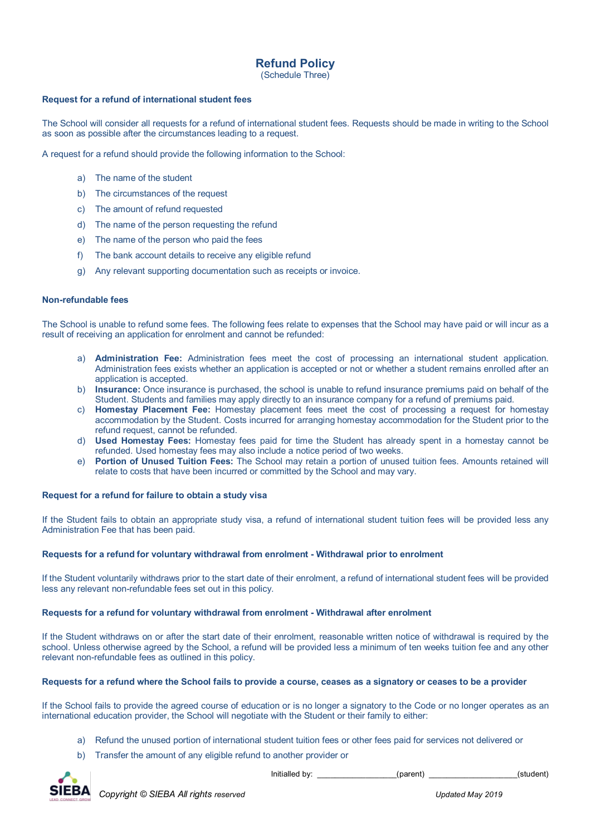## **Refund Policy**

(Schedule Three)

#### **Request for a refund of international student fees**

The School will consider all requests for a refund of international student fees. Requests should be made in writing to the School as soon as possible after the circumstances leading to a request.

A request for a refund should provide the following information to the School:

- a) The name of the student
- b) The circumstances of the request
- c) The amount of refund requested
- d) The name of the person requesting the refund
- e) The name of the person who paid the fees
- f) The bank account details to receive any eligible refund
- g) Any relevant supporting documentation such as receipts or invoice.

#### **Non-refundable fees**

The School is unable to refund some fees. The following fees relate to expenses that the School may have paid or will incur as a result of receiving an application for enrolment and cannot be refunded:

- a) **Administration Fee:** Administration fees meet the cost of processing an international student application. Administration fees exists whether an application is accepted or not or whether a student remains enrolled after an application is accepted.
- b) **Insurance:** Once insurance is purchased, the school is unable to refund insurance premiums paid on behalf of the Student. Students and families may apply directly to an insurance company for a refund of premiums paid.
- c) **Homestay Placement Fee:** Homestay placement fees meet the cost of processing a request for homestay accommodation by the Student. Costs incurred for arranging homestay accommodation for the Student prior to the refund request, cannot be refunded.
- d) **Used Homestay Fees:** Homestay fees paid for time the Student has already spent in a homestay cannot be refunded. Used homestay fees may also include a notice period of two weeks.
- e) **Portion of Unused Tuition Fees:** The School may retain a portion of unused tuition fees. Amounts retained will relate to costs that have been incurred or committed by the School and may vary.

#### **Request for a refund for failure to obtain a study visa**

If the Student fails to obtain an appropriate study visa, a refund of international student tuition fees will be provided less any Administration Fee that has been paid.

#### **Requests for a refund for voluntary withdrawal from enrolment - Withdrawal prior to enrolment**

If the Student voluntarily withdraws prior to the start date of their enrolment, a refund of international student fees will be provided less any relevant non-refundable fees set out in this policy.

#### **Requests for a refund for voluntary withdrawal from enrolment - Withdrawal after enrolment**

If the Student withdraws on or after the start date of their enrolment, reasonable written notice of withdrawal is required by the school. Unless otherwise agreed by the School, a refund will be provided less a minimum of ten weeks tuition fee and any other relevant non-refundable fees as outlined in this policy.

#### **Requests for a refund where the School fails to provide a course, ceases as a signatory or ceases to be a provider**

If the School fails to provide the agreed course of education or is no longer a signatory to the Code or no longer operates as an international education provider, the School will negotiate with the Student or their family to either:

- a) Refund the unused portion of international student tuition fees or other fees paid for services not delivered or
- b) Transfer the amount of any eligible refund to another provider or



Initialled by:  $(parent)$  (parent)  $(student)$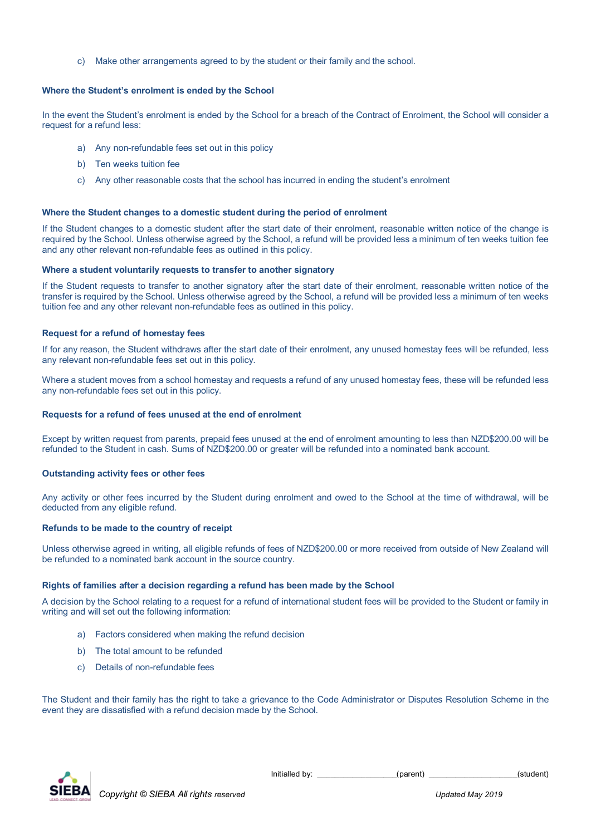c) Make other arrangements agreed to by the student or their family and the school.

#### **Where the Student's enrolment is ended by the School**

In the event the Student's enrolment is ended by the School for a breach of the Contract of Enrolment, the School will consider a request for a refund less:

- a) Any non-refundable fees set out in this policy
- b) Ten weeks tuition fee
- c) Any other reasonable costs that the school has incurred in ending the student's enrolment

#### **Where the Student changes to a domestic student during the period of enrolment**

If the Student changes to a domestic student after the start date of their enrolment, reasonable written notice of the change is required by the School. Unless otherwise agreed by the School, a refund will be provided less a minimum of ten weeks tuition fee and any other relevant non-refundable fees as outlined in this policy.

#### **Where a student voluntarily requests to transfer to another signatory**

If the Student requests to transfer to another signatory after the start date of their enrolment, reasonable written notice of the transfer is required by the School. Unless otherwise agreed by the School, a refund will be provided less a minimum of ten weeks tuition fee and any other relevant non-refundable fees as outlined in this policy.

#### **Request for a refund of homestay fees**

If for any reason, the Student withdraws after the start date of their enrolment, any unused homestay fees will be refunded, less any relevant non-refundable fees set out in this policy.

Where a student moves from a school homestay and requests a refund of any unused homestay fees, these will be refunded less any non-refundable fees set out in this policy.

#### **Requests for a refund of fees unused at the end of enrolment**

Except by written request from parents, prepaid fees unused at the end of enrolment amounting to less than NZD\$200.00 will be refunded to the Student in cash. Sums of NZD\$200.00 or greater will be refunded into a nominated bank account.

#### **Outstanding activity fees or other fees**

Any activity or other fees incurred by the Student during enrolment and owed to the School at the time of withdrawal, will be deducted from any eligible refund.

#### **Refunds to be made to the country of receipt**

Unless otherwise agreed in writing, all eligible refunds of fees of NZD\$200.00 or more received from outside of New Zealand will be refunded to a nominated bank account in the source country.

#### **Rights of families after a decision regarding a refund has been made by the School**

A decision by the School relating to a request for a refund of international student fees will be provided to the Student or family in writing and will set out the following information:

- a) Factors considered when making the refund decision
- b) The total amount to be refunded
- c) Details of non-refundable fees

The Student and their family has the right to take a grievance to the Code Administrator or Disputes Resolution Scheme in the event they are dissatisfied with a refund decision made by the School.



Initialled by: \_\_\_\_\_\_\_\_\_\_\_\_\_\_\_\_\_\_(parent) \_\_\_\_\_\_\_\_\_\_\_\_\_\_\_\_\_\_\_\_(student)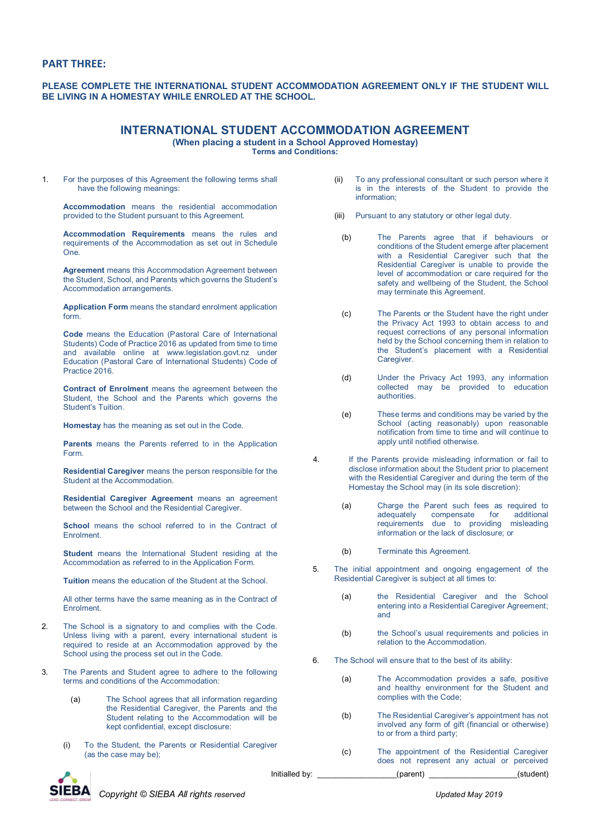#### **PART THREE:**

**PLEASE COMPLETE THE INTERNATIONAL STUDENT ACCOMMODATION AGREEMENT ONLY IF THE STUDENT WILL BE LIVING IN A HOMESTAY WHILE ENROLED AT THE SCHOOL.**

## **INTERNATIONAL STUDENT ACCOMMODATION AGREEMENT**

**(When placing a student in a School Approved Homestay)**

**Terms and Conditions:**

1. For the purposes of this Agreement the following terms shall have the following meanings:

**Accommodation** means the residential accommodation provided to the Student pursuant to this Agreement.

**Accommodation Requirements** means the rules and requirements of the Accommodation as set out in Schedule One.

**Agreement** means this Accommodation Agreement between the Student, School, and Parents which governs the Student's Accommodation arrangements.

**Application Form** means the standard enrolment application form.

**Code** means the Education (Pastoral Care of International Students) Code of Practice 2016 as updated from time to time and available online at www.legislation.govt.nz under Education (Pastoral Care of International Students) Code of Practice 2016.

**Contract of Enrolment** means the agreement between the Student, the School and the Parents which governs the Student's Tuition.

**Homestay** has the meaning as set out in the Code.

**Parents** means the Parents referred to in the Application Form.

**Residential Caregiver** means the person responsible for the Student at the Accommodation.

**Residential Caregiver Agreement** means an agreement between the School and the Residential Caregiver.

**School** means the school referred to in the Contract of Enrolment.

**Student** means the International Student residing at the Accommodation as referred to in the Application Form.

**Tuition** means the education of the Student at the School.

All other terms have the same meaning as in the Contract of Enrolment.

- 2. The School is a signatory to and complies with the Code. Unless living with a parent, every international student is required to reside at an Accommodation approved by the School using the process set out in the Code.
- 3. The Parents and Student agree to adhere to the following terms and conditions of the Accommodation:
	- (a) The School agrees that all information regarding the Residential Caregiver, the Parents and the Student relating to the Accommodation will be kept confidential, except disclosure:
	- (i) To the Student, the Parents or Residential Caregiver (as the case may be);

(ii) To any professional consultant or such person where it is in the interests of the Student to provide the information;

- (iii) Pursuant to any statutory or other legal duty.
	- (b) The Parents agree that if behaviours or conditions of the Student emerge after placement with a Residential Caregiver such that the Residential Caregiver is unable to provide the level of accommodation or care required for the safety and wellbeing of the Student, the School may terminate this Agreement.
	- (c) The Parents or the Student have the right under the Privacy Act 1993 to obtain access to and request corrections of any personal information held by the School concerning them in relation to the Student's placement with a Residential Caregiver.
	- (d) Under the Privacy Act 1993, any information collected may be provided to education authorities.
- (e) These terms and conditions may be varied by the School (acting reasonably) upon reasonable notification from time to time and will continue to apply until notified otherwise.
- 4. If the Parents provide misleading information or fail to disclose information about the Student prior to placement with the Residential Caregiver and during the term of the Homestay the School may (in its sole discretion):
	- (a) Charge the Parent such fees as required to adequately compensate for additional requirements due to providing misleading information or the lack of disclosure; or
	- (b) Terminate this Agreement.
- 5. The initial appointment and ongoing engagement of the Residential Caregiver is subject at all times to:
	- (a) the Residential Caregiver and the School entering into a Residential Caregiver Agreement; and
	- (b) the School's usual requirements and policies in relation to the Accommodation.
- 6. The School will ensure that to the best of its ability:
	- (a) The Accommodation provides a safe, positive and healthy environment for the Student and complies with the Code;
	- (b) The Residential Caregiver's appointment has not involved any form of gift (financial or otherwise) to or from a third party;
- Initialled by:  $(parent)$  (parent) (example  $(student)$ (c) The appointment of the Residential Caregiver does not represent any actual or perceived

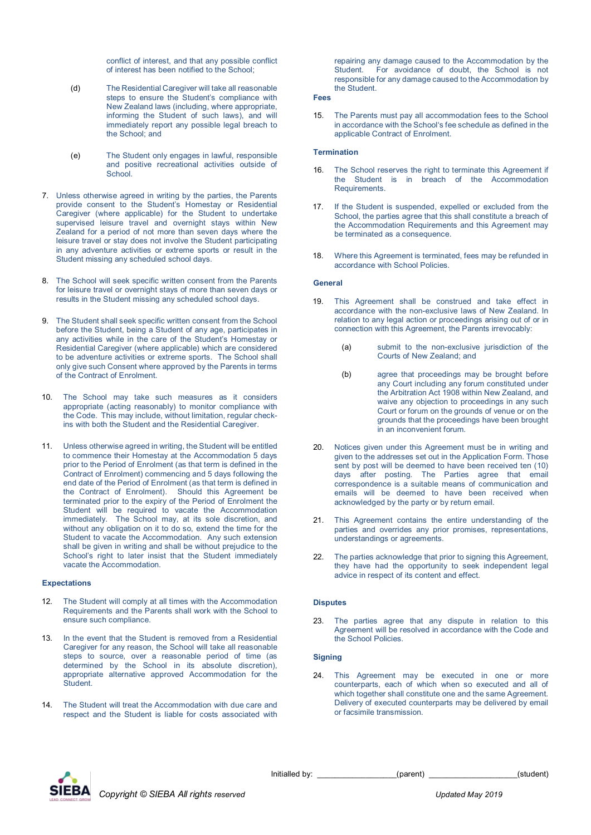conflict of interest, and that any possible conflict of interest has been notified to the School;

- (d) The Residential Caregiver will take all reasonable steps to ensure the Student's compliance with New Zealand laws (including, where appropriate, informing the Student of such laws), and will immediately report any possible legal breach to the School; and
- (e) The Student only engages in lawful, responsible and positive recreational activities outside of **School**.
- 7. Unless otherwise agreed in writing by the parties, the Parents provide consent to the Student's Homestay or Residential Caregiver (where applicable) for the Student to undertake supervised leisure travel and overnight stays within New Zealand for a period of not more than seven days where the leisure travel or stay does not involve the Student participating in any adventure activities or extreme sports or result in the Student missing any scheduled school days.
- 8. The School will seek specific written consent from the Parents for leisure travel or overnight stays of more than seven days or results in the Student missing any scheduled school days.
- 9. The Student shall seek specific written consent from the School before the Student, being a Student of any age, participates in any activities while in the care of the Student's Homestay or Residential Caregiver (where applicable) which are considered to be adventure activities or extreme sports. The School shall only give such Consent where approved by the Parents in terms of the Contract of Enrolment.
- 10. The School may take such measures as it considers appropriate (acting reasonably) to monitor compliance with the Code. This may include, without limitation, regular checkins with both the Student and the Residential Caregiver.
- 11. Unless otherwise agreed in writing, the Student will be entitled to commence their Homestay at the Accommodation 5 days prior to the Period of Enrolment (as that term is defined in the Contract of Enrolment) commencing and 5 days following the end date of the Period of Enrolment (as that term is defined in the Contract of Enrolment). Should this Agreement be terminated prior to the expiry of the Period of Enrolment the Student will be required to vacate the Accommodation immediately. The School may, at its sole discretion, and without any obligation on it to do so, extend the time for the Student to vacate the Accommodation. Any such extension shall be given in writing and shall be without prejudice to the School's right to later insist that the Student immediately vacate the Accommodation.

#### **Expectations**

- 12. The Student will comply at all times with the Accommodation Requirements and the Parents shall work with the School to ensure such compliance.
- 13. In the event that the Student is removed from a Residential Caregiver for any reason, the School will take all reasonable steps to source, over a reasonable period of time (as determined by the School in its absolute discretion), appropriate alternative approved Accommodation for the **Student**
- 14. The Student will treat the Accommodation with due care and respect and the Student is liable for costs associated with

repairing any damage caused to the Accommodation by the<br>Student For avoidance of doubt the School is not For avoidance of doubt, the School is not responsible for any damage caused to the Accommodation by the Student.

#### **Fees**

15. The Parents must pay all accommodation fees to the School in accordance with the School's fee schedule as defined in the applicable Contract of Enrolment.

#### **Termination**

- 16. The School reserves the right to terminate this Agreement if the Student is in breach of the Accommodation **Requirements**
- 17. If the Student is suspended, expelled or excluded from the School, the parties agree that this shall constitute a breach of the Accommodation Requirements and this Agreement may be terminated as a consequence.
- 18. Where this Agreement is terminated, fees may be refunded in accordance with School Policies.

#### **General**

- 19. This Agreement shall be construed and take effect in accordance with the non-exclusive laws of New Zealand. In relation to any legal action or proceedings arising out of or in connection with this Agreement, the Parents irrevocably:
	- (a) submit to the non-exclusive jurisdiction of the Courts of New Zealand; and
	- (b) agree that proceedings may be brought before any Court including any forum constituted under the Arbitration Act 1908 within New Zealand, and waive any objection to proceedings in any such Court or forum on the grounds of venue or on the grounds that the proceedings have been brought in an inconvenient forum.
- 20. Notices given under this Agreement must be in writing and given to the addresses set out in the Application Form. Those sent by post will be deemed to have been received ten (10) days after posting. The Parties agree that email correspondence is a suitable means of communication and emails will be deemed to have been received when acknowledged by the party or by return email.
- 21. This Agreement contains the entire understanding of the parties and overrides any prior promises, representations, understandings or agreements.
- 22. The parties acknowledge that prior to signing this Agreement, they have had the opportunity to seek independent legal advice in respect of its content and effect.

#### **Disputes**

23. The parties agree that any dispute in relation to this Agreement will be resolved in accordance with the Code and the School Policies.

#### **Signing**

24. This Agreement may be executed in one or more counterparts, each of which when so executed and all of which together shall constitute one and the same Agreement. Delivery of executed counterparts may be delivered by email or facsimile transmission.

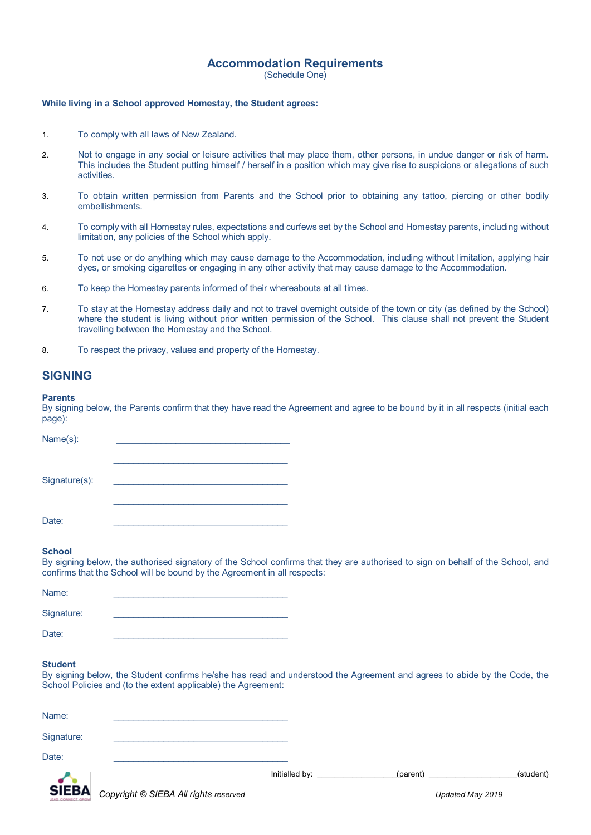## **Accommodation Requirements**

(Schedule One)

#### **While living in a School approved Homestay, the Student agrees:**

- 1. To comply with all laws of New Zealand.
- 2. Not to engage in any social or leisure activities that may place them, other persons, in undue danger or risk of harm. This includes the Student putting himself / herself in a position which may give rise to suspicions or allegations of such activities.
- 3. To obtain written permission from Parents and the School prior to obtaining any tattoo, piercing or other bodily embellishments.
- 4. To comply with all Homestay rules, expectations and curfews set by the School and Homestay parents, including without limitation, any policies of the School which apply.
- 5. To not use or do anything which may cause damage to the Accommodation, including without limitation, applying hair dyes, or smoking cigarettes or engaging in any other activity that may cause damage to the Accommodation.
- 6. To keep the Homestay parents informed of their whereabouts at all times.
- 7. To stay at the Homestay address daily and not to travel overnight outside of the town or city (as defined by the School) where the student is living without prior written permission of the School. This clause shall not prevent the Student travelling between the Homestay and the School.
- 8. To respect the privacy, values and property of the Homestay.

## **SIGNING**

#### **Parents**

By signing below, the Parents confirm that they have read the Agreement and agree to be bound by it in all respects (initial each page):

| Name(s):      |  |
|---------------|--|
|               |  |
|               |  |
|               |  |
| Signature(s): |  |
|               |  |
|               |  |
|               |  |
| Date:         |  |

#### **School**

By signing below, the authorised signatory of the School confirms that they are authorised to sign on behalf of the School, and confirms that the School will be bound by the Agreement in all respects:

| Name:      |  |
|------------|--|
| Signature: |  |
| Date:      |  |

#### **Student**

By signing below, the Student confirms he/she has read and understood the Agreement and agrees to abide by the Code, the School Policies and (to the extent applicable) the Agreement:

| Name:      |                |          |           |
|------------|----------------|----------|-----------|
| Signature: |                |          |           |
| Date:      | Initialled by: | (parent) | (student) |
| $\sim$     |                |          |           |

*Copyright © SIEBA All rights reserved Updated May 2019*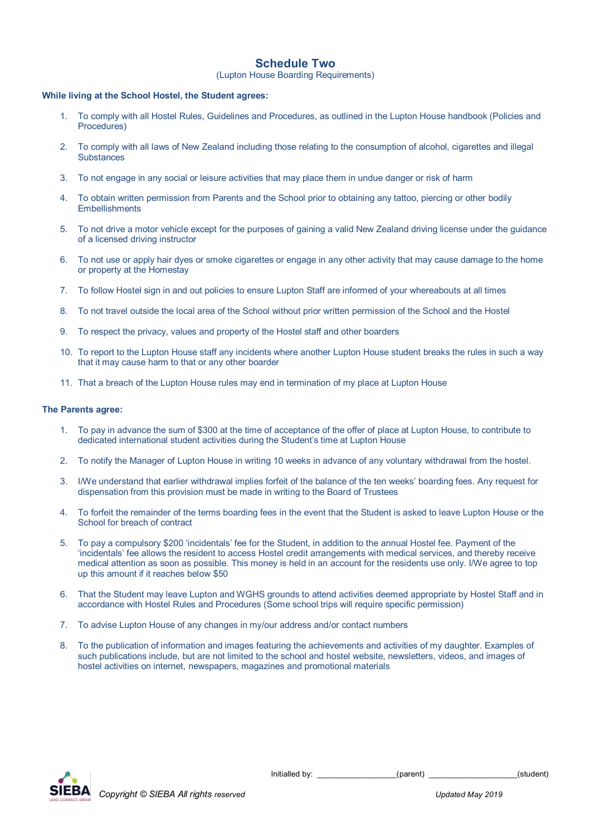## **Schedule Two**

(Lupton House Boarding Requirements)

#### **While living at the School Hostel, the Student agrees:**

- 1. To comply with all Hostel Rules, Guidelines and Procedures, as outlined in the Lupton House handbook (Policies and Procedures)
- 2. To comply with all laws of New Zealand including those relating to the consumption of alcohol, cigarettes and illegal **Substances**
- 3. To not engage in any social or leisure activities that may place them in undue danger or risk of harm
- 4. To obtain written permission from Parents and the School prior to obtaining any tattoo, piercing or other bodily **Embellishments**
- 5. To not drive a motor vehicle except for the purposes of gaining a valid New Zealand driving license under the guidance of a licensed driving instructor
- 6. To not use or apply hair dyes or smoke cigarettes or engage in any other activity that may cause damage to the home or property at the Homestay
- 7. To follow Hostel sign in and out policies to ensure Lupton Staff are informed of your whereabouts at all times
- 8. To not travel outside the local area of the School without prior written permission of the School and the Hostel
- 9. To respect the privacy, values and property of the Hostel staff and other boarders
- 10. To report to the Lupton House staff any incidents where another Lupton House student breaks the rules in such a way that it may cause harm to that or any other boarder
- 11. That a breach of the Lupton House rules may end in termination of my place at Lupton House

#### **The Parents agree:**

- 1. To pay in advance the sum of \$300 at the time of acceptance of the offer of place at Lupton House, to contribute to dedicated international student activities during the Student's time at Lupton House
- 2. To notify the Manager of Lupton House in writing 10 weeks in advance of any voluntary withdrawal from the hostel.
- 3. I/We understand that earlier withdrawal implies forfeit of the balance of the ten weeks' boarding fees. Any request for dispensation from this provision must be made in writing to the Board of Trustees
- 4. To forfeit the remainder of the terms boarding fees in the event that the Student is asked to leave Lupton House or the School for breach of contract
- 5. To pay a compulsory \$200 'incidentals' fee for the Student, in addition to the annual Hostel fee. Payment of the 'incidentals' fee allows the resident to access Hostel credit arrangements with medical services, and thereby receive medical attention as soon as possible. This money is held in an account for the residents use only. I/We agree to top up this amount if it reaches below \$50
- 6. That the Student may leave Lupton and WGHS grounds to attend activities deemed appropriate by Hostel Staff and in accordance with Hostel Rules and Procedures (Some school trips will require specific permission)
- 7. To advise Lupton House of any changes in my/our address and/or contact numbers
- 8. To the publication of information and images featuring the achievements and activities of my daughter. Examples of such publications include, but are not limited to the school and hostel website, newsletters, videos, and images of hostel activities on internet, newspapers, magazines and promotional materials

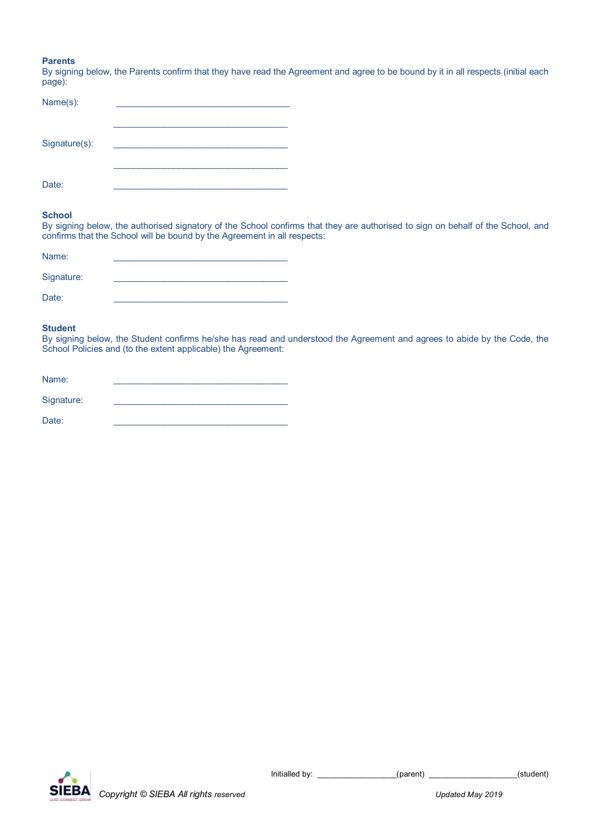#### **Parents**

By signing below, the Parents confirm that they have read the Agreement and agree to be bound by it in all respects (initial each page):

| Name(s):      |  |
|---------------|--|
| Signature(s): |  |
| Date:         |  |

## **School**

By signing below, the authorised signatory of the School confirms that they are authorised to sign on behalf of the School, and confirms that the School will be bound by the Agreement in all respects:

| Name:      |  |
|------------|--|
| Signature: |  |
| Date:      |  |

#### **Student**

By signing below, the Student confirms he/she has read and understood the Agreement and agrees to abide by the Code, the School Policies and (to the extent applicable) the Agreement:

| Name:      |  |
|------------|--|
| Signature: |  |
| Date:      |  |



Initialled by: \_\_\_\_\_\_\_\_\_\_\_\_\_\_\_\_\_\_(parent) \_\_\_\_\_\_\_\_\_\_\_\_\_\_\_\_\_\_\_\_(student)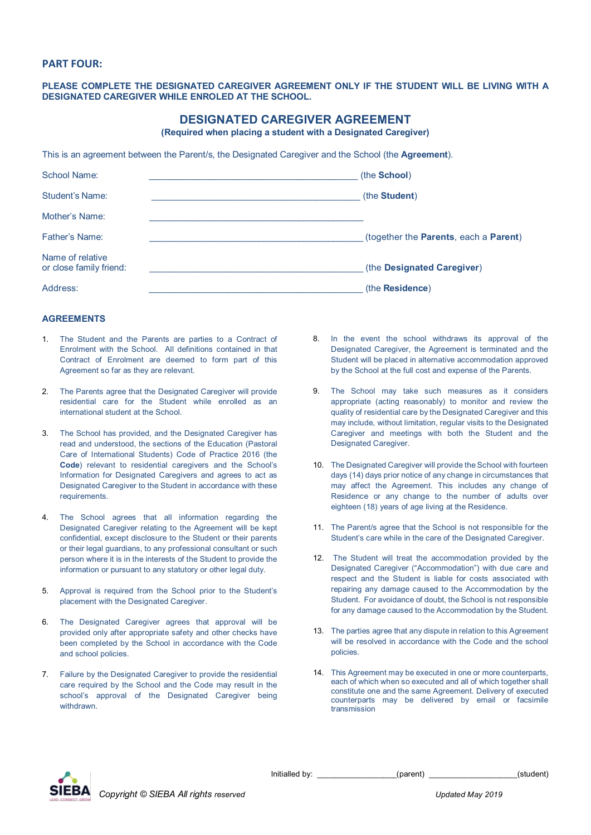#### **PART FOUR:**

#### **PLEASE COMPLETE THE DESIGNATED CAREGIVER AGREEMENT ONLY IF THE STUDENT WILL BE LIVING WITH A DESIGNATED CAREGIVER WHILE ENROLED AT THE SCHOOL.**

## **DESIGNATED CAREGIVER AGREEMENT**

**(Required when placing a student with a Designated Caregiver)**

This is an agreement between the Parent/s, the Designated Caregiver and the School (the **Agreement**).

| School Name:                                | (the <b>School</b> )                  |
|---------------------------------------------|---------------------------------------|
| <b>Student's Name:</b>                      | (the Student)                         |
| Mother's Name:                              |                                       |
| <b>Father's Name:</b>                       | (together the Parents, each a Parent) |
| Name of relative<br>or close family friend: | (the Designated Caregiver)            |
| Address:                                    | (the Residence)                       |

#### **AGREEMENTS**

- 1. The Student and the Parents are parties to a Contract of Enrolment with the School. All definitions contained in that Contract of Enrolment are deemed to form part of this Agreement so far as they are relevant.
- 2. The Parents agree that the Designated Caregiver will provide residential care for the Student while enrolled as an international student at the School.
- 3. The School has provided, and the Designated Caregiver has read and understood, the sections of the Education (Pastoral Care of International Students) Code of Practice 2016 (the **Code**) relevant to residential caregivers and the School's Information for Designated Caregivers and agrees to act as Designated Caregiver to the Student in accordance with these requirements.
- 4. The School agrees that all information regarding the Designated Caregiver relating to the Agreement will be kept confidential, except disclosure to the Student or their parents or their legal guardians, to any professional consultant or such person where it is in the interests of the Student to provide the information or pursuant to any statutory or other legal duty.
- 5. Approval is required from the School prior to the Student's placement with the Designated Caregiver.
- 6. The Designated Caregiver agrees that approval will be provided only after appropriate safety and other checks have been completed by the School in accordance with the Code and school policies.
- 7. Failure by the Designated Caregiver to provide the residential care required by the School and the Code may result in the school's approval of the Designated Caregiver being withdrawn.
- 8. In the event the school withdraws its approval of the Designated Caregiver, the Agreement is terminated and the Student will be placed in alternative accommodation approved by the School at the full cost and expense of the Parents.
- 9. The School may take such measures as it considers appropriate (acting reasonably) to monitor and review the quality of residential care by the Designated Caregiver and this may include, without limitation, regular visits to the Designated Caregiver and meetings with both the Student and the Designated Caregiver.
- 10. The Designated Caregiver will provide the School with fourteen days (14) days prior notice of any change in circumstances that may affect the Agreement. This includes any change of Residence or any change to the number of adults over eighteen (18) years of age living at the Residence.
- 11. The Parent/s agree that the School is not responsible for the Student's care while in the care of the Designated Caregiver.
- 12. The Student will treat the accommodation provided by the Designated Caregiver ("Accommodation") with due care and respect and the Student is liable for costs associated with repairing any damage caused to the Accommodation by the Student. For avoidance of doubt, the School is not responsible for any damage caused to the Accommodation by the Student.
- 13. The parties agree that any dispute in relation to this Agreement will be resolved in accordance with the Code and the school policies.
- 14. This Agreement may be executed in one or more counterparts, each of which when so executed and all of which together shall constitute one and the same Agreement. Delivery of executed counterparts may be delivered by email or facsimile transmission